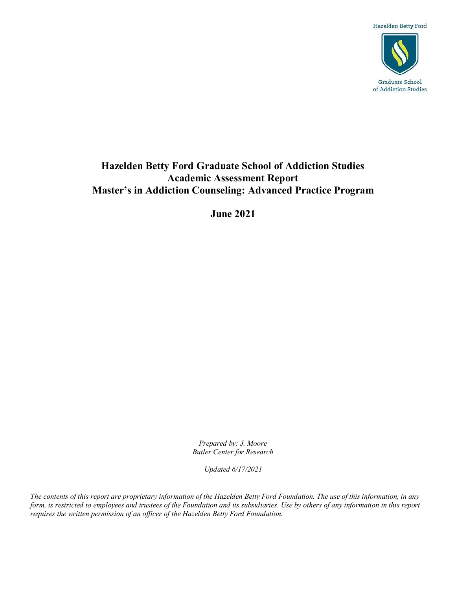Hazelden Betty Ford



# **Hazelden Betty Ford Graduate School of Addiction Studies Academic Assessment Report Master's in Addiction Counseling: Advanced Practice Program**

**June 2021**

*Prepared by: J. Moore Butler Center for Research*

*Updated 6/17/2021*

*The contents of this report are proprietary information of the Hazelden Betty Ford Foundation. The use of this information, in any form, is restricted to employees and trustees of the Foundation and its subsidiaries. Use by others of any information in this report requires the written permission of an officer of the Hazelden Betty Ford Foundation.*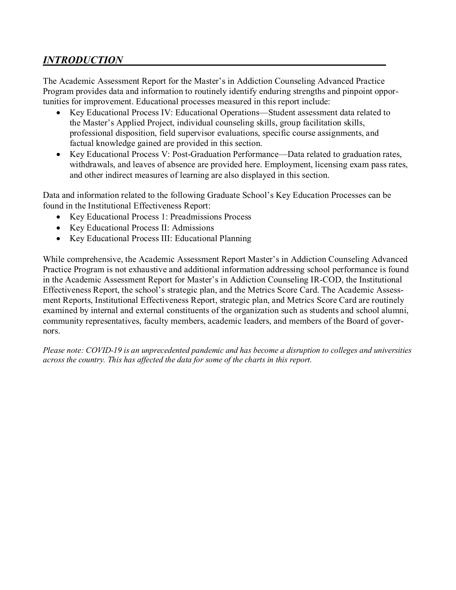# *INTRODUCTION*

The Academic Assessment Report for the Master's in Addiction Counseling Advanced Practice Program provides data and information to routinely identify enduring strengths and pinpoint opportunities for improvement. Educational processes measured in this report include:

- Key Educational Process IV: Educational Operations—Student assessment data related to the Master's Applied Project, individual counseling skills, group facilitation skills, professional disposition, field supervisor evaluations, specific course assignments, and factual knowledge gained are provided in this section.
- Key Educational Process V: Post-Graduation Performance—Data related to graduation rates, withdrawals, and leaves of absence are provided here. Employment, licensing exam pass rates, and other indirect measures of learning are also displayed in this section.

Data and information related to the following Graduate School's Key Education Processes can be found in the Institutional Effectiveness Report:

- Key Educational Process 1: Preadmissions Process
- Key Educational Process II: Admissions
- Key Educational Process III: Educational Planning

While comprehensive, the Academic Assessment Report Master's in Addiction Counseling Advanced Practice Program is not exhaustive and additional information addressing school performance is found in the Academic Assessment Report for Master's in Addiction Counseling IR-COD, the Institutional Effectiveness Report, the school's strategic plan, and the Metrics Score Card. The Academic Assessment Reports, Institutional Effectiveness Report, strategic plan, and Metrics Score Card are routinely examined by internal and external constituents of the organization such as students and school alumni, community representatives, faculty members, academic leaders, and members of the Board of governors.

*Please note: COVID-19 is an unprecedented pandemic and has become a disruption to colleges and universities across the country. This has affected the data for some of the charts in this report.*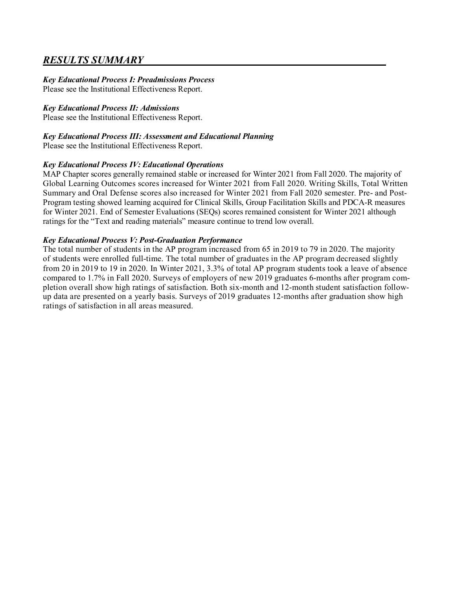## *RESULTS SUMMARY*

## *Key Educational Process I: Preadmissions Process*

Please see the Institutional Effectiveness Report.

## *Key Educational Process II: Admissions*

Please see the Institutional Effectiveness Report.

## *Key Educational Process III: Assessment and Educational Planning*

Please see the Institutional Effectiveness Report.

## *Key Educational Process IV: Educational Operations*

MAP Chapter scores generally remained stable or increased for Winter 2021 from Fall 2020. The majority of Global Learning Outcomes scores increased for Winter 2021 from Fall 2020. Writing Skills, Total Written Summary and Oral Defense scores also increased for Winter 2021 from Fall 2020 semester. Pre- and Post-Program testing showed learning acquired for Clinical Skills, Group Facilitation Skills and PDCA-R measures for Winter 2021. End of Semester Evaluations (SEQs) scores remained consistent for Winter 2021 although ratings for the "Text and reading materials" measure continue to trend low overall.

## *Key Educational Process V: Post-Graduation Performance*

The total number of students in the AP program increased from 65 in 2019 to 79 in 2020. The majority of students were enrolled full-time. The total number of graduates in the AP program decreased slightly from 20 in 2019 to 19 in 2020. In Winter 2021, 3.3% of total AP program students took a leave of absence compared to 1.7% in Fall 2020. Surveys of employers of new 2019 graduates 6-months after program completion overall show high ratings of satisfaction. Both six-month and 12-month student satisfaction followup data are presented on a yearly basis. Surveys of 2019 graduates 12-months after graduation show high ratings of satisfaction in all areas measured.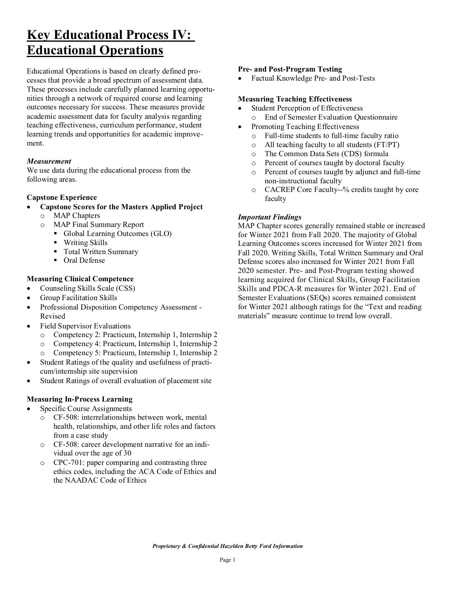# **Key Educational Process IV: Educational Operations**

Educational Operations is based on clearly defined processes that provide a broad spectrum of assessment data. These processes include carefully planned learning opportunities through a network of required course and learning outcomes necessary for success. These measures provide academic assessment data for faculty analysis regarding teaching effectiveness, curriculum performance, student learning trends and opportunities for academic improvement.

#### *Measurement*

We use data during the educational process from the following areas.

## **Capstone Experience**

- **Capstone Scores for the Masters Applied Project**
	- o MAP Chapters
	- o MAP Final Summary Report
		- Global Learning Outcomes (GLO)
		- Writing Skills
		- Total Written Summary
		- Oral Defense

## **Measuring Clinical Competence**

- Counseling Skills Scale (CSS)
- Group Facilitation Skills
- Professional Disposition Competency Assessment Revised
- Field Supervisor Evaluations
	- o Competency 2: Practicum, Internship 1, Internship 2
	- o Competency 4: Practicum, Internship 1, Internship 2
	- o Competency 5: Practicum, Internship 1, Internship 2
- Student Ratings of the quality and usefulness of practicum/internship site supervision
- Student Ratings of overall evaluation of placement site

#### **Measuring In-Process Learning**

- Specific Course Assignments
	- o CF-508: interrelationships between work, mental health, relationships, and other life roles and factors from a case study
	- o CF-508: career development narrative for an individual over the age of 30
	- o CPC-701: paper comparing and contrasting three ethics codes, including the ACA Code of Ethics and the NAADAC Code of Ethics

#### **Pre- and Post-Program Testing**

• Factual Knowledge Pre- and Post-Tests

#### **Measuring Teaching Effectiveness**

- Student Perception of Effectiveness
	- o End of Semester Evaluation Questionnaire
- Promoting Teaching Effectiveness
	- $\circ$  Full-time students to full-time faculty ratio<br> $\circ$  All teaching faculty to all students (FT/PT)
	- All teaching faculty to all students (FT/PT)
	- o The Common Data Sets (CDS) formula
	- o Percent of courses taught by doctoral faculty
	- o Percent of courses taught by adjunct and full-time non-instructional faculty
	- o CACREP Core Faculty--% credits taught by core faculty

## *Important Findings*

MAP Chapter scores generally remained stable or increased for Winter 2021 from Fall 2020. The majority of Global Learning Outcomes scores increased for Winter 2021 from Fall 2020. Writing Skills, Total Written Summary and Oral Defense scores also increased for Winter 2021 from Fall 2020 semester. Pre- and Post-Program testing showed learning acquired for Clinical Skills, Group Facilitation Skills and PDCA-R measures for Winter 2021. End of Semester Evaluations (SEQs) scores remained consistent for Winter 2021 although ratings for the "Text and reading materials" measure continue to trend low overall.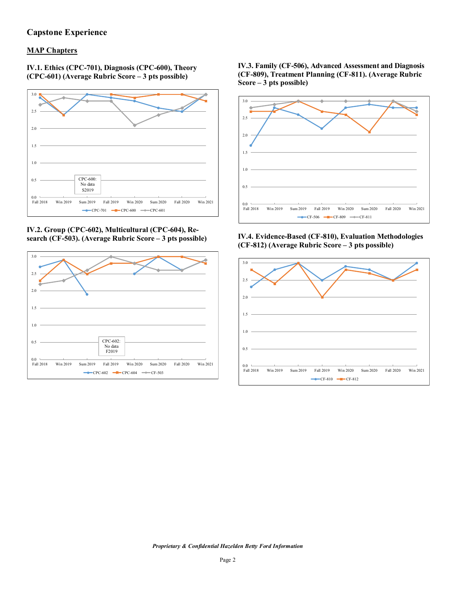## **Capstone Experience**

## **MAP Chapters**

**IV.1. Ethics (CPC-701), Diagnosis (CPC-600), Theory (CPC-601) (Average Rubric Score – 3 pts possible)**



**IV.2. Group (CPC-602), Multicultural (CPC-604), Research (CF-503). (Average Rubric Score – 3 pts possible)**



**IV.3. Family (CF-506), Advanced Assessment and Diagnosis (CF-809), Treatment Planning (CF-811). (Average Rubric Score – 3 pts possible)**



**IV.4. Evidence-Based (CF-810), Evaluation Methodologies (CF-812) (Average Rubric Score – 3 pts possible)**

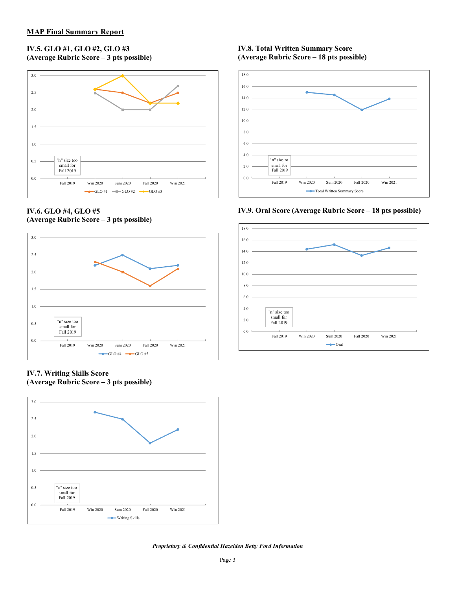#### **IV.5. GLO #1, GLO #2, GLO #3 (Average Rubric Score – 3 pts possible)**



#### **IV.6. GLO #4, GLO #5 (Average Rubric Score – 3 pts possible)**



**IV.7. Writing Skills Score (Average Rubric Score – 3 pts possible)**



#### **IV.8. Total Written Summary Score (Average Rubric Score – 18 pts possible)**



**IV.9. Oral Score (Average Rubric Score – 18 pts possible)** 

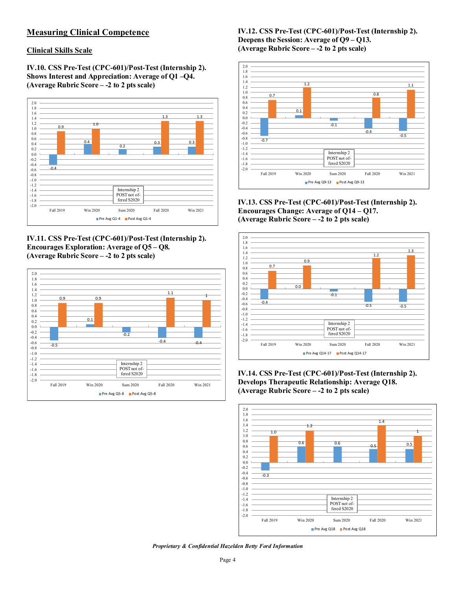## **Measuring Clinical Competence**

#### **Clinical Skills Scale**

**IV.10. CSS Pre-Test (CPC-601)/Post-Test (Internship 2). Shows Interest and Appreciation: Average of Q1 –Q4. (Average Rubric Score – -2 to 2 pts scale)**



**IV.11. CSS Pre-Test (CPC-601)/Post-Test (Internship 2). Encourages Exploration: Average of Q5 – Q8. (Average Rubric Score – -2 to 2 pts scale)**



**IV.12. CSS Pre-Test (CPC-601)/Post-Test (Internship 2). Deepens the Session: Average of Q9 – Q13. (Average Rubric Score – -2 to 2 pts scale)**



**IV.13. CSS Pre-Test (CPC-601)/Post-Test (Internship 2). Encourages Change: Average of Q14 – Q17. (Average Rubric Score – -2 to 2 pts scale)** 



**IV.14. CSS Pre-Test (CPC-601)/Post-Test (Internship 2). Develops Therapeutic Relationship: Average Q18. (Average Rubric Score – -2 to 2 pts scale)** 



*Proprietary & Confidential Hazelden Betty Ford Information*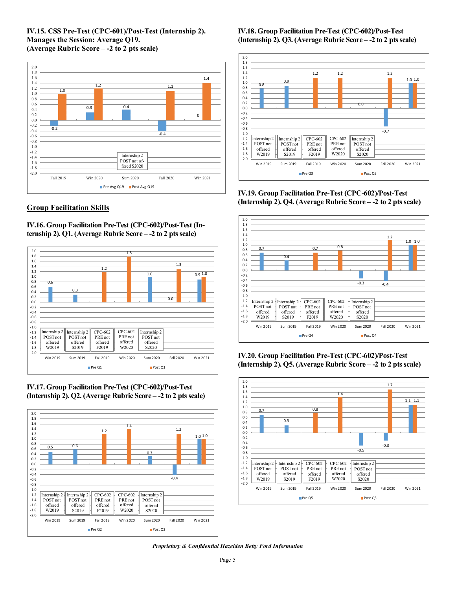#### **IV.15. CSS Pre-Test (CPC-601)/Post-Test (Internship 2). Manages the Session: Average Q19. (Average Rubric Score – -2 to 2 pts scale)**



## **Group Facilitation Skills**

**IV.16. Group Facilitation Pre-Test (CPC-602)/Post-Test (Internship 2). Q1. (Average Rubric Score – -2 to 2 pts scale)**



**IV.17. Group Facilitation Pre-Test (CPC-602)/Post-Test (Internship 2). Q2. (Average Rubric Score – -2 to 2 pts scale)**



**IV.18. Group Facilitation Pre-Test (CPC-602)/Post-Test (Internship 2). Q3. (Average Rubric Score – -2 to 2 pts scale)**



**IV.19. Group Facilitation Pre-Test (CPC-602)/Post-Test (Internship 2). Q4. (Average Rubric Score – -2 to 2 pts scale)**



**IV.20. Group Facilitation Pre-Test (CPC-602)/Post-Test (Internship 2). Q5. (Average Rubric Score – -2 to 2 pts scale)**



*Proprietary & Confidential Hazelden Betty Ford Information*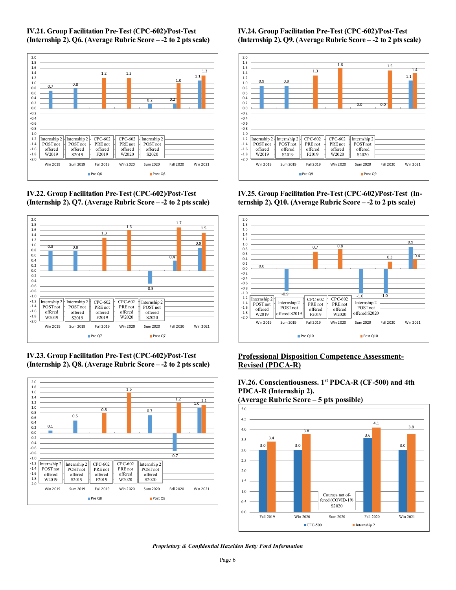







**IV.23. Group Facilitation Pre-Test (CPC-602)/Post-Test (Internship 2). Q8. (Average Rubric Score – -2 to 2 pts scale)**



#### **IV.24. Group Facilitation Pre-Test (CPC-602)/Post-Test (Internship 2). Q9. (Average Rubric Score – -2 to 2 pts scale)**



**IV.25. Group Facilitation Pre-Test (CPC-602)/Post-Test (Internship 2). Q10. (Average Rubric Score – -2 to 2 pts scale)**



#### **Professional Disposition Competence Assessment-Revised (PDCA-R)**

**IV.26. Conscientiousness. 1st PDCA-R (CF-500) and 4th PDCA-R (Internship 2).** 

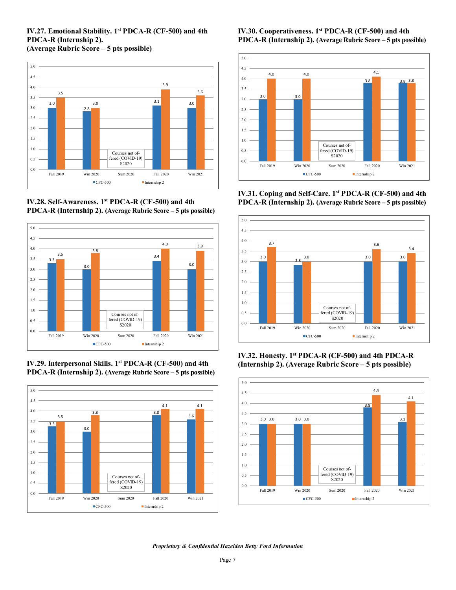#### **IV.27. Emotional Stability. 1st PDCA-R (CF-500) and 4th PDCA-R (Internship 2). (Average Rubric Score – 5 pts possible)**

3.0 2.8  $3.1$   $3.0$ 3.5 3.0 3.9 3.6 0.0 0.5 1.0 1.5 2.0 2.5 3.0 3.5 4.0 4.5 5.0 Fall 2019 Win 2020 Sum 2020 Fall 2020 Win 2021 ■CFC-500 Internship 2 Courses not offered (COVID-19) S<sub>2</sub>0<sub>20</sub>

**IV.28. Self-Awareness. 1st PDCA-R (CF-500) and 4th PDCA-R (Internship 2). (Average Rubric Score – 5 pts possible)**



**IV.29. Interpersonal Skills. 1st PDCA-R (CF-500) and 4th PDCA-R (Internship 2). (Average Rubric Score – 5 pts possible)**



**IV.30. Cooperativeness. 1st PDCA-R (CF-500) and 4th PDCA-R (Internship 2). (Average Rubric Score – 5 pts possible)**



**IV.31. Coping and Self-Care. 1st PDCA-R (CF-500) and 4th PDCA-R (Internship 2). (Average Rubric Score – 5 pts possible)**



**IV.32. Honesty. 1st PDCA-R (CF-500) and 4th PDCA-R (Internship 2). (Average Rubric Score – 5 pts possible)**

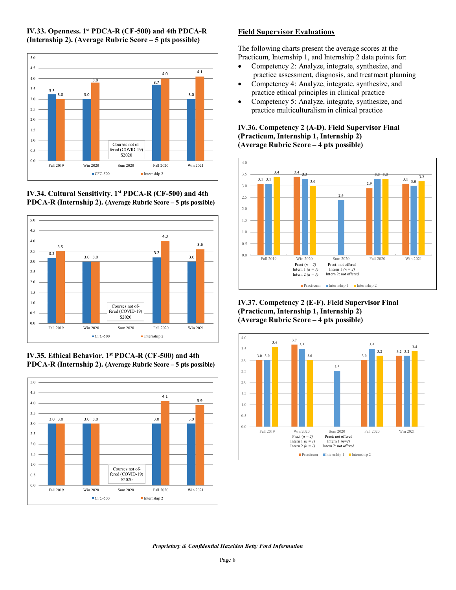

#### **IV.33. Openness. 1st PDCA-R (CF-500) and 4th PDCA-R (Internship 2). (Average Rubric Score – 5 pts possible)**

**IV.34. Cultural Sensitivity. 1st PDCA-R (CF-500) and 4th PDCA-R (Internship 2). (Average Rubric Score – 5 pts possible)**



**IV.35. Ethical Behavior. 1st PDCA-R (CF-500) and 4th PDCA-R (Internship 2). (Average Rubric Score – 5 pts possible)**



## **Field Supervisor Evaluations**

The following charts present the average scores at the Practicum, Internship 1, and Internship 2 data points for:

- Competency 2: Analyze, integrate, synthesize, and practice assessment, diagnosis, and treatment planning
- Competency 4: Analyze, integrate, synthesize, and practice ethical principles in clinical practice
- Competency 5: Analyze, integrate, synthesize, and practice multiculturalism in clinical practice

#### **IV.36. Competency 2 (A-D). Field Supervisor Final (Practicum, Internship 1, Internship 2) (Average Rubric Score – 4 pts possible)**



**IV.37. Competency 2 (E-F). Field Supervisor Final (Practicum, Internship 1, Internship 2) (Average Rubric Score – 4 pts possible)**

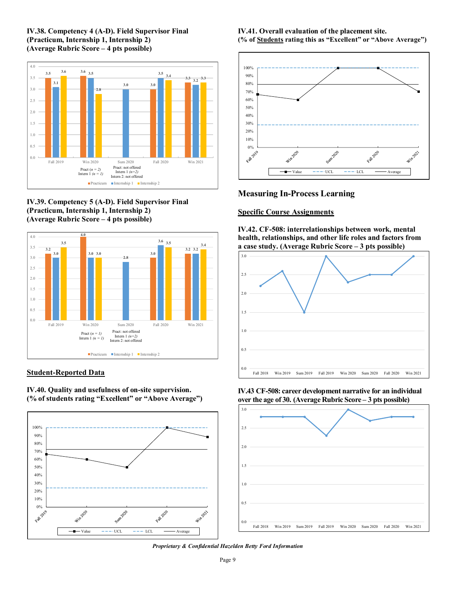#### **IV.38. Competency 4 (A-D). Field Supervisor Final (Practicum, Internship 1, Internship 2) (Average Rubric Score – 4 pts possible)**







#### **Student-Reported Data**

**IV.40. Quality and usefulness of on-site supervision. (% of students rating "Excellent" or "Above Average")** 



**IV.41. Overall evaluation of the placement site. (% of Students rating this as "Excellent" or "Above Average")**



## **Measuring In-Process Learning**

#### **Specific Course Assignments**

**IV.42. CF-508: interrelationships between work, mental health, relationships, and other life roles and factors from a case study. (Average Rubric Score – 3 pts possible)**



**IV.43 CF-508: career development narrative for an individual over the age of 30. (Average Rubric Score – 3 pts possible)**

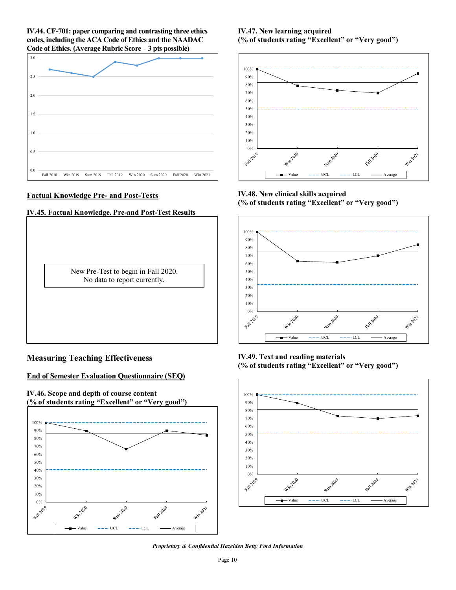**IV.44. CF-701: paper comparing and contrasting three ethics codes, including the ACA Code of Ethics and the NAADAC Code of Ethics. (Average Rubric Score – 3 pts possible)**



#### **Factual Knowledge Pre- and Post-Tests**

#### **IV.45. Factual Knowledge. Pre-and Post-Test Results**

New Pre-Test to begin in Fall 2020. No data to report currently.

#### **Measuring Teaching Effectiveness**

#### **End of Semester Evaluation Questionnaire (SEQ)**



#### **IV.47. New learning acquired (% of students rating "Excellent" or "Very good")**



**IV.48. New clinical skills acquired (% of students rating "Excellent" or "Very good")** 



**IV.49. Text and reading materials (% of students rating "Excellent" or "Very good")** 



*Proprietary & Confidential Hazelden Betty Ford Information*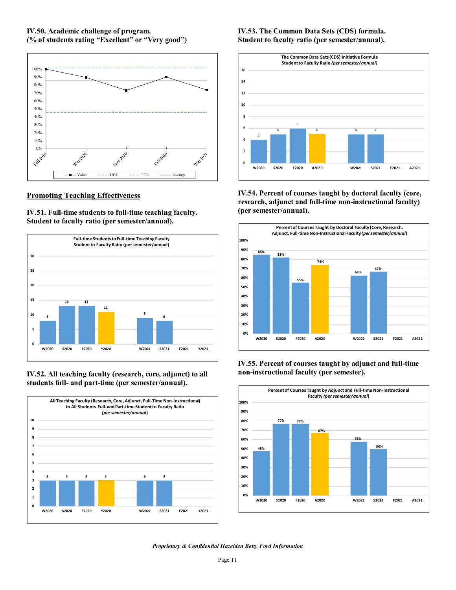#### **IV.50. Academic challenge of program. (% of students rating "Excellent" or "Very good")**



#### **Promoting Teaching Effectiveness**

**IV.51. Full-time students to full-time teaching faculty. Student to faculty ratio (per semester/annual).** 



**IV.52. All teaching faculty (research, core, adjunct) to all students full- and part-time (per semester/annual).** 



## **IV.53. The Common Data Sets (CDS) formula. Student to faculty ratio (per semester/annual).**



**IV.54. Percent of courses taught by doctoral faculty (core, research, adjunct and full-time non-instructional faculty) (per semester/annual).**



#### **IV.55. Percent of courses taught by adjunct and full-time non-instructional faculty (per semester).**

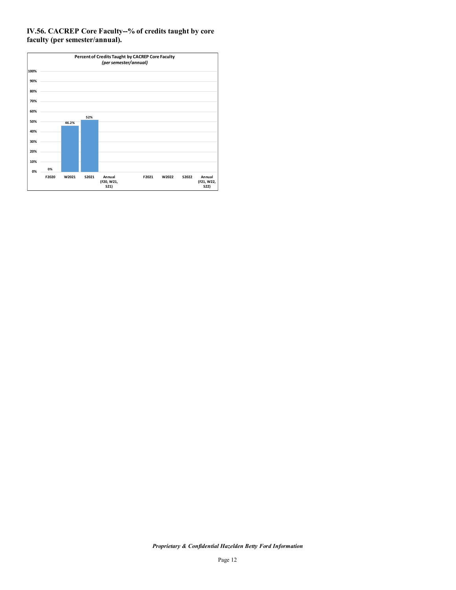## **IV.56. CACREP Core Faculty--% of credits taught by core faculty (per semester/annual).**

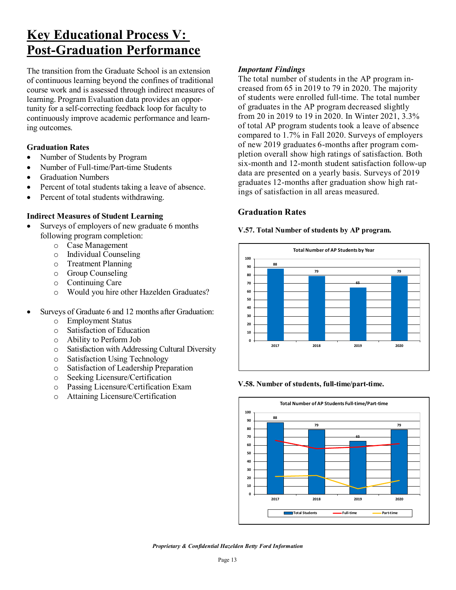# **Key Educational Process V: Post-Graduation Performance**

The transition from the Graduate School is an extension of continuous learning beyond the confines of traditional course work and is assessed through indirect measures of learning. Program Evaluation data provides an opportunity for a self-correcting feedback loop for faculty to continuously improve academic performance and learning outcomes.

## **Graduation Rates**

- Number of Students by Program
- Number of Full-time/Part-time Students
- Graduation Numbers
- Percent of total students taking a leave of absence.
- Percent of total students withdrawing.

## **Indirect Measures of Student Learning**

- Surveys of employers of new graduate 6 months following program completion:
	- o Case Management
	- o Individual Counseling
	- o Treatment Planning
	- o Group Counseling
	- o Continuing Care
	- o Would you hire other Hazelden Graduates?
- Surveys of Graduate 6 and 12 months after Graduation:
	- o Employment Status<br>
	o Satisfaction of Educ
	- o Satisfaction of Education
	- Ability to Perform Job
	- o Satisfaction with Addressing Cultural Diversity
	- o Satisfaction Using Technology
	- o Satisfaction of Leadership Preparation
	- o Seeking Licensure/Certification
	- o Passing Licensure/Certification Exam<br>
	o Attaining Licensure/Certification
	- Attaining Licensure/Certification

## *Important Findings*

The total number of students in the AP program increased from 65 in 2019 to 79 in 2020. The majority of students were enrolled full-time. The total number of graduates in the AP program decreased slightly from 20 in 2019 to 19 in 2020. In Winter 2021, 3.3% of total AP program students took a leave of absence compared to 1.7% in Fall 2020. Surveys of employers of new 2019 graduates 6-months after program completion overall show high ratings of satisfaction. Both six-month and 12-month student satisfaction follow-up data are presented on a yearly basis. Surveys of 2019 graduates 12-months after graduation show high ratings of satisfaction in all areas measured.

## **Graduation Rates**

#### **V.57. Total Number of students by AP program.**



#### **V.58. Number of students, full-time/part-time.**

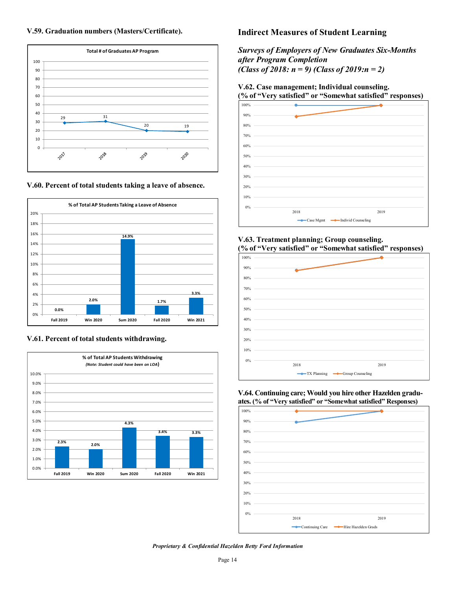



**V.60. Percent of total students taking a leave of absence.** 



#### **V.61. Percent of total students withdrawing.**



## **Indirect Measures of Student Learning**

*Surveys of Employers of New Graduates Six-Months after Program Completion (Class of 2018: n = 9) (Class of 2019:n = 2)* 

## **V.62. Case management; Individual counseling.**

# **(% of "Very satisfied" or "Somewhat satisfied" responses)**



#### **V.63. Treatment planning; Group counseling. (% of "Very satisfied" or "Somewhat satisfied" responses)**



#### **V.64. Continuing care; Would you hire other Hazelden graduates. (% of "Very satisfied" or "Somewhat satisfied" Responses)**

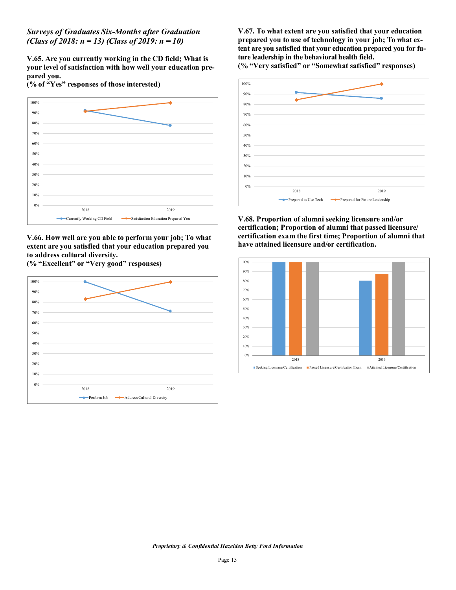*Surveys of Graduates Six-Months after Graduation (Class of 2018: n = 13) (Class of 2019: n = 10)*

**V.65. Are you currently working in the CD field; What is your level of satisfaction with how well your education prepared you.** 

**(% of "Yes" responses of those interested)**



**V.66. How well are you able to perform your job; To what extent are you satisfied that your education prepared you to address cultural diversity.** 

**(% "Excellent" or "Very good" responses)** 



**V.67. To what extent are you satisfied that your education prepared you to use of technology in your job; To what extent are you satisfied that your education prepared you for future leadership in the behavioral health field.**

**(% "Very satisfied" or "Somewhat satisfied" responses)** 



**V.68. Proportion of alumni seeking licensure and/or certification; Proportion of alumni that passed licensure/ certification exam the first time; Proportion of alumni that have attained licensure and/or certification.**